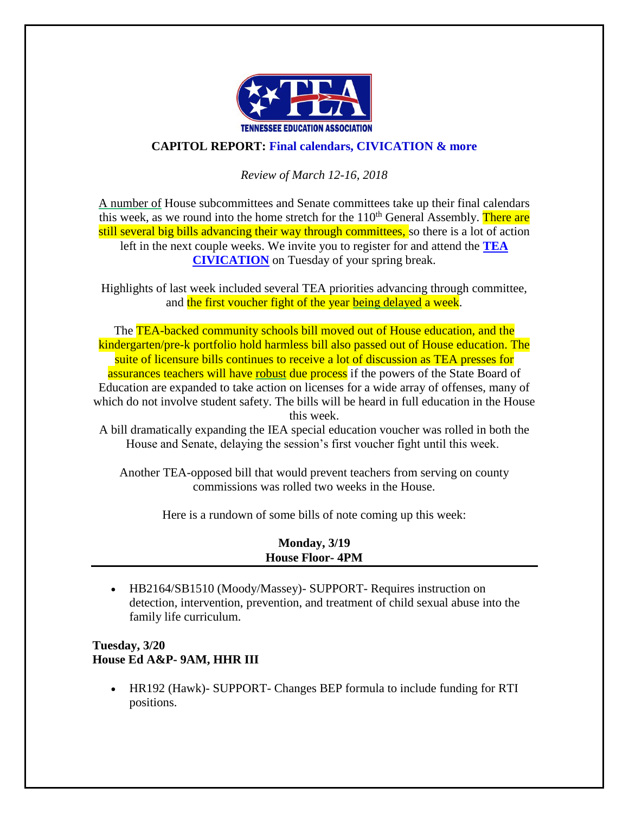

## **CAPITOL REPORT: Final calendars, CIVICATION & more**

### *Review of March 12-16, 2018*

A number of House subcommittees and Senate committees take up their final calendars this week, as we round into the home stretch for the  $110<sup>th</sup>$  General Assembly. There are still several big bills advancing their way through committees, so there is a lot of action left in the next couple weeks. We invite you to register for and attend the **[TEA](http://www.teateachers.org/tea-civication-registration)  [CIVICATION](http://www.teateachers.org/tea-civication-registration)** on Tuesday of your spring break.

Highlights of last week included several TEA priorities advancing through committee, and the first voucher fight of the year being delayed a week.

The TEA-backed community schools bill moved out of House education, and the kindergarten/pre-k portfolio hold harmless bill also passed out of House education. The suite of licensure bills continues to receive a lot of discussion as TEA presses for assurances teachers will have robust due process if the powers of the State Board of Education are expanded to take action on licenses for a wide array of offenses, many of which do not involve student safety. The bills will be heard in full education in the House this week.

A bill dramatically expanding the IEA special education voucher was rolled in both the House and Senate, delaying the session's first voucher fight until this week.

Another TEA-opposed bill that would prevent teachers from serving on county commissions was rolled two weeks in the House.

Here is a rundown of some bills of note coming up this week:

| <b>Monday</b> , 3/19   |  |
|------------------------|--|
| <b>House Floor-4PM</b> |  |

• HB2164/SB1510 (Moody/Massey) - SUPPORT - Requires instruction on detection, intervention, prevention, and treatment of child sexual abuse into the family life curriculum.

### **Tuesday, 3/20 House Ed A&P- 9AM, HHR III**

• HR192 (Hawk)- SUPPORT- Changes BEP formula to include funding for RTI positions.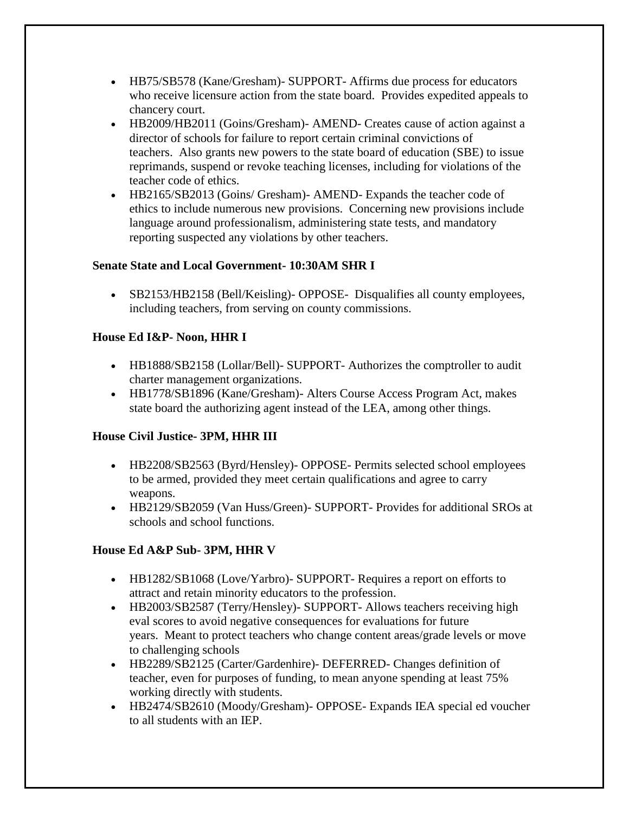- HB75/SB578 (Kane/Gresham)- SUPPORT- Affirms due process for educators who receive licensure action from the state board. Provides expedited appeals to chancery court.
- HB2009/HB2011 (Goins/Gresham)- AMEND- Creates cause of action against a director of schools for failure to report certain criminal convictions of teachers. Also grants new powers to the state board of education (SBE) to issue reprimands, suspend or revoke teaching licenses, including for violations of the teacher code of ethics.
- HB2165/SB2013 (Goins/ Gresham)- AMEND- Expands the teacher code of ethics to include numerous new provisions. Concerning new provisions include language around professionalism, administering state tests, and mandatory reporting suspected any violations by other teachers.

### **Senate State and Local Government- 10:30AM SHR I**

• SB2153/HB2158 (Bell/Keisling)- OPPOSE- Disqualifies all county employees, including teachers, from serving on county commissions.

## **House Ed I&P- Noon, HHR I**

- HB1888/SB2158 (Lollar/Bell)- SUPPORT- Authorizes the comptroller to audit charter management organizations.
- HB1778/SB1896 (Kane/Gresham)- Alters Course Access Program Act, makes state board the authorizing agent instead of the LEA, among other things.

# **House Civil Justice- 3PM, HHR III**

- HB2208/SB2563 (Byrd/Hensley)- OPPOSE- Permits selected school employees to be armed, provided they meet certain qualifications and agree to carry weapons.
- HB2129/SB2059 (Van Huss/Green)- SUPPORT- Provides for additional SROs at schools and school functions.

# **House Ed A&P Sub- 3PM, HHR V**

- HB1282/SB1068 (Love/Yarbro)- SUPPORT- Requires a report on efforts to attract and retain minority educators to the profession.
- HB2003/SB2587 (Terry/Hensley) SUPPORT- Allows teachers receiving high eval scores to avoid negative consequences for evaluations for future years. Meant to protect teachers who change content areas/grade levels or move to challenging schools
- HB2289/SB2125 (Carter/Gardenhire)- DEFERRED- Changes definition of teacher, even for purposes of funding, to mean anyone spending at least 75% working directly with students.
- HB2474/SB2610 (Moody/Gresham)- OPPOSE- Expands IEA special ed voucher to all students with an IEP.